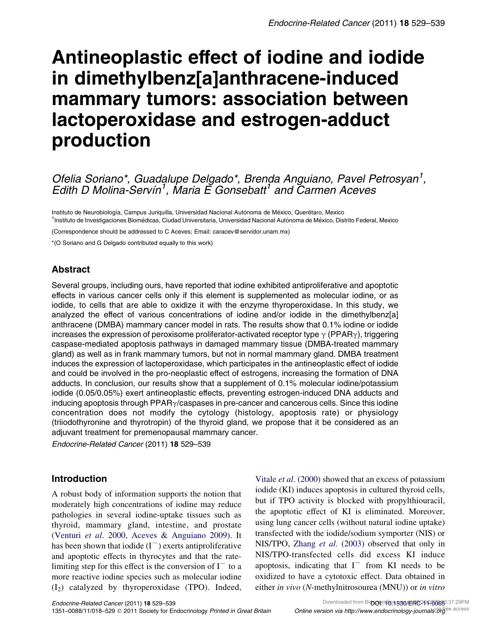# Antineoplastic effect of iodine and iodide in dimethylbenz[a]anthracene-induced mammary tumors: association between lactoperoxidase and estrogen-adduct production

## Ofelia Soriano\*, Guadalupe Delgado\*, Brenda Anguiano, Pavel Petrosyan<sup>1</sup>, Edith D Molina-Servin<sup>1</sup>, Maria E Gonsebatt<sup>1</sup> and Carmen Aceves

Instituto de Neurobiología, Campus Juriquilla, Universidad Nacional Autónoma de México, Querétaro, Mexico <sup>1</sup>Instituto de Investigaciones Biomédicas, Ciudad Universitaria, Universidad Nacional Autónoma de México, Distrito Federal, Mexico

(Correspondence should be addressed to C Aceves; Email: caracev@servidor.unam.mx)

\*(O Soriano and G Delgado contributed equally to this work)

## Abstract

Several groups, including ours, have reported that iodine exhibited antiproliferative and apoptotic effects in various cancer cells only if this element is supplemented as molecular iodine, or as iodide, to cells that are able to oxidize it with the enzyme thyroperoxidase. In this study, we analyzed the effect of various concentrations of iodine and/or iodide in the dimethylbenz[a] anthracene (DMBA) mammary cancer model in rats. The results show that 0.1% iodine or iodide increases the expression of peroxisome proliferator-activated receptor type  $\gamma$  (PPAR $\gamma$ ), triggering caspase-mediated apoptosis pathways in damaged mammary tissue (DMBA-treated mammary gland) as well as in frank mammary tumors, but not in normal mammary gland. DMBA treatment induces the expression of lactoperoxidase, which participates in the antineoplastic effect of iodide and could be involved in the pro-neoplastic effect of estrogens, increasing the formation of DNA adducts. In conclusion, our results show that a supplement of 0.1% molecular iodine/potassium iodide (0.05/0.05%) exert antineoplastic effects, preventing estrogen-induced DNA adducts and inducing apoptosis through  $PPAR<sub>Y</sub>/cases$  in pre-cancer and cancerous cells. Since this iodine concentration does not modify the cytology (histology, apoptosis rate) or physiology (triiodothyronine and thyrotropin) of the thyroid gland, we propose that it be considered as an adjuvant treatment for premenopausal mammary cancer.

Endocrine-Related Cancer (2011) 18 529–539

## Introduction

A robust body of information supports the notion that moderately high concentrations of iodine may reduce pathologies in several iodine-uptake tissues such as thyroid, mammary gland, intestine, and prostate [\(Venturi](#page-10-0) et al. 2000, [Aceves & Anguiano 2009](#page-8-0)). It has been shown that iodide  $(I^-)$  exerts antiproliferative and apoptotic effects in thyrocytes and that the ratelimiting step for this effect is the conversion of  $I<sup>-</sup>$  to a more reactive iodine species such as molecular iodine  $(I_2)$  catalyzed by thyroperoxidase (TPO). Indeed,

Vitale *et al.* (2000) showed that an excess of potassium iodide (KI) induces apoptosis in cultured thyroid cells, but if TPO activity is blocked with propylthiouracil, the apoptotic effect of KI is eliminated. Moreover, using lung cancer cells (without natural iodine uptake) transfected with the iodide/sodium symporter (NIS) or NIS/TPO, Zhang et al[. \(2003\)](#page-10-0) observed that only in NIS/TPO-transfected cells did excess KI induce apoptosis, indicating that  $I^-$  from KI needs to be oxidized to have a cytotoxic effect. Data obtained in either in vivo (N-methylnitrosourea (MNU)) or in vitro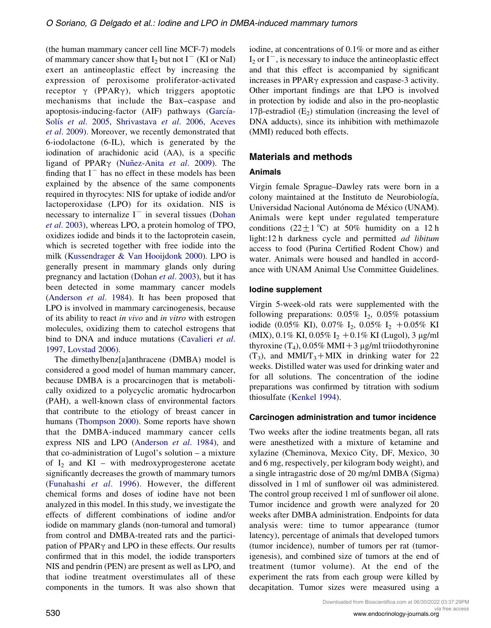(the human mammary cancer cell line MCF-7) models of mammary cancer show that  $I_2$  but not  $I^-$  (KI or NaI) exert an antineoplastic effect by increasing the expression of peroxisome proliferator-activated receptor  $\gamma$  (PPAR $\gamma$ ), which triggers apoptotic mechanisms that include the Bax–caspase and apoptosis-inducing-factor (AIF) pathways (García-Solís et al[. 2005,](#page-9-0) [Shrivastava](#page-10-0) et al. 2006, [Aceves](#page-8-0) et al[. 2009](#page-8-0)). Moreover, we recently demonstrated that 6-iodolactone (6-IL), which is generated by the iodination of arachidonic acid (AA), is a specific ligand of PPAR $\gamma$  (Nunez-Anita et al. 2009). The finding that  $I<sup>-</sup>$  has no effect in these models has been explained by the absence of the same components required in thyrocytes: NIS for uptake of iodide and/or lactoperoxidase (LPO) for its oxidation. NIS is necessary to internalize  $I^-$  in several tissues [\(Dohan](#page-9-0) et al[. 2003\)](#page-9-0), whereas LPO, a protein homolog of TPO, oxidizes iodide and binds it to the lactoprotein casein, which is secreted together with free iodide into the milk [\(Kussendrager & Van Hooijdonk 2000\)](#page-9-0). LPO is generally present in mammary glands only during pregnancy and lactation ([Dohan](#page-9-0) et al. 2003), but it has been detected in some mammary cancer models [\(Anderson](#page-8-0) et al. 1984). It has been proposed that LPO is involved in mammary carcinogenesis, because of its ability to react in vivo and in vitro with estrogen molecules, oxidizing them to catechol estrogens that bind to DNA and induce mutations [\(Cavalieri](#page-9-0) et al. [1997,](#page-9-0) [Lovstad 2006\)](#page-9-0).

The dimethylbenz[a]anthracene (DMBA) model is considered a good model of human mammary cancer, because DMBA is a procarcinogen that is metabolically oxidized to a polycyclic aromatic hydrocarbon (PAH), a well-known class of environmental factors that contribute to the etiology of breast cancer in humans ([Thompson 2000\)](#page-10-0). Some reports have shown that the DMBA-induced mammary cancer cells express NIS and LPO [\(Anderson](#page-8-0) et al. 1984), and that co-administration of Lugol's solution – a mixture of  $I_2$  and KI – with medroxyprogesterone acetate significantly decreases the growth of mammary tumors [\(Funahashi](#page-9-0) et al. 1996). However, the different chemical forms and doses of iodine have not been analyzed in this model. In this study, we investigate the effects of different combinations of iodine and/or iodide on mammary glands (non-tumoral and tumoral) from control and DMBA-treated rats and the participation of PPAR $\gamma$  and LPO in these effects. Our results confirmed that in this model, the iodide transporters NIS and pendrin (PEN) are present as well as LPO, and that iodine treatment overstimulates all of these components in the tumors. It was also shown that

iodine, at concentrations of 0.1% or more and as either  $I_2$  or  $I^-$ , is necessary to induce the antineoplastic effect and that this effect is accompanied by significant increases in PPAR $\gamma$  expression and caspase-3 activity. Other important findings are that LPO is involved in protection by iodide and also in the pro-neoplastic 17β-estradiol  $(E_2)$  stimulation (increasing the level of DNA adducts), since its inhibition with methimazole (MMI) reduced both effects.

## Materials and methods

#### Animals

Virgin female Sprague–Dawley rats were born in a colony maintained at the Instituto de Neurobiología, Universidad Nacional Autónoma de México (UNAM). Animals were kept under regulated temperature conditions  $(22 \pm 1 \degree C)$  at 50% humidity on a 12 h light:12 h darkness cycle and permitted ad libitum access to food (Purina Certified Rodent Chow) and water. Animals were housed and handled in accordance with UNAM Animal Use Committee Guidelines.

#### Iodine supplement

Virgin 5-week-old rats were supplemented with the following preparations:  $0.05\%$  I<sub>2</sub>,  $0.05\%$  potassium iodide (0.05% KI), 0.07% I<sub>2</sub>, 0.05% I<sub>2</sub> + 0.05% KI (MIX),  $0.1\%$  KI,  $0.05\%$  I<sub>2</sub> +  $0.1\%$  KI (Lugol), 3 µg/ml thyroxine  $(T_4)$ , 0.05% MMI + 3 µg/ml triiodothyronine  $(T_3)$ , and MMI/T<sub>3</sub>+MIX in drinking water for 22 weeks. Distilled water was used for drinking water and for all solutions. The concentration of the iodine preparations was confirmed by titration with sodium thiosulfate ([Kenkel 1994\)](#page-9-0).

#### Carcinogen administration and tumor incidence

Two weeks after the iodine treatments began, all rats were anesthetized with a mixture of ketamine and xylazine (Cheminova, Mexico City, DF, Mexico, 30 and 6 mg, respectively, per kilogram body weight), and a single intragastric dose of 20 mg/ml DMBA (Sigma) dissolved in 1 ml of sunflower oil was administered. The control group received 1 ml of sunflower oil alone. Tumor incidence and growth were analyzed for 20 weeks after DMBA administration. Endpoints for data analysis were: time to tumor appearance (tumor latency), percentage of animals that developed tumors (tumor incidence), number of tumors per rat (tumorigenesis), and combined size of tumors at the end of treatment (tumor volume). At the end of the experiment the rats from each group were killed by decapitation. Tumor sizes were measured using a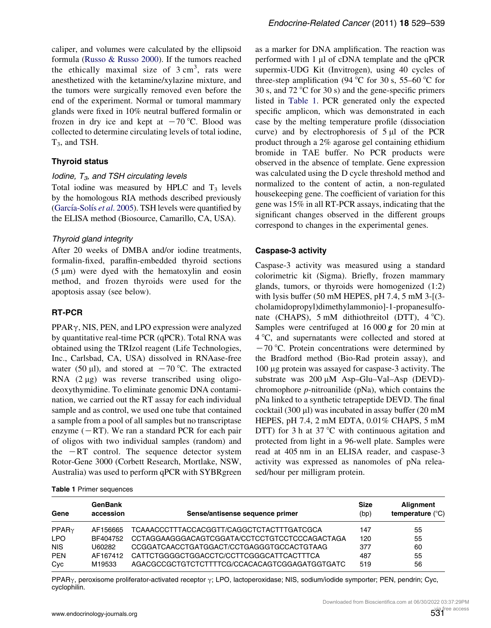caliper, and volumes were calculated by the ellipsoid formula ([Russo & Russo 2000](#page-10-0)). If the tumors reached the ethically maximal size of  $3 \text{ cm}^3$ , rats were anesthetized with the ketamine/xylazine mixture, and the tumors were surgically removed even before the end of the experiment. Normal or tumoral mammary glands were fixed in 10% neutral buffered formalin or frozen in dry ice and kept at  $-70$  °C. Blood was collected to determine circulating levels of total iodine,  $T_3$ , and TSH.

#### Thyroid status

#### Iodine,  $T_3$ , and TSH circulating levels

Total iodine was measured by HPLC and  $T_3$  levels by the homologous RIA methods described previously (García-Solís et al. 2005). TSH levels were quantified by the ELISA method (Biosource, Camarillo, CA, USA).

#### Thyroid gland integrity

After 20 weeks of DMBA and/or iodine treatments, formalin-fixed, paraffin-embedded thyroid sections  $(5 \mu m)$  were dyed with the hematoxylin and eosin method, and frozen thyroids were used for the apoptosis assay (see below).

#### RT-PCR

 $PPAR\gamma$ , NIS, PEN, and LPO expression were analyzed by quantitative real-time PCR (qPCR). Total RNA was obtained using the TRIzol reagent (Life Technologies, Inc., Carlsbad, CA, USA) dissolved in RNAase-free water (50  $\mu$ l), and stored at  $-70$  °C. The extracted RNA  $(2 \mu g)$  was reverse transcribed using oligodeoxythymidine. To eliminate genomic DNA contamination, we carried out the RT assay for each individual sample and as control, we used one tube that contained a sample from a pool of all samples but no transcriptase enzyme  $(-RT)$ . We ran a standard PCR for each pair of oligos with two individual samples (random) and the  $-RT$  control. The sequence detector system Rotor-Gene 3000 (Corbett Research, Mortlake, NSW, Australia) was used to perform qPCR with SYBRgreen as a marker for DNA amplification. The reaction was performed with  $1 \mu l$  of cDNA template and the qPCR supermix-UDG Kit (Invitrogen), using 40 cycles of three-step amplification (94  $\degree$ C for 30 s, 55–60  $\degree$ C for 30 s, and 72  $\degree$ C for 30 s) and the gene-specific primers listed in Table 1. PCR generated only the expected specific amplicon, which was demonstrated in each case by the melting temperature profile (dissociation curve) and by electrophoresis of  $5 \mu l$  of the PCR product through a 2% agarose gel containing ethidium bromide in TAE buffer. No PCR products were observed in the absence of template. Gene expression was calculated using the D cycle threshold method and normalized to the content of actin, a non-regulated housekeeping gene. The coefficient of variation for this gene was 15% in all RT-PCR assays, indicating that the significant changes observed in the different groups correspond to changes in the experimental genes.

#### Caspase-3 activity

Caspase-3 activity was measured using a standard colorimetric kit (Sigma). Briefly, frozen mammary glands, tumors, or thyroids were homogenized (1:2) with lysis buffer (50 mM HEPES, pH 7.4, 5 mM 3-[(3 cholamidopropyl)dimethylammonio]-1-propanesulfonate (CHAPS),  $5 \text{ mM}$  dithiothreitol (DTT),  $4 \text{ }^{\circ}$ C). Samples were centrifuged at 16 000 *g* for 20 min at 4 8C, and supernatants were collected and stored at  $-70$  °C. Protein concentrations were determined by the Bradford method (Bio-Rad protein assay), and 100 mg protein was assayed for caspase-3 activity. The substrate was  $200 \mu M$  Asp-Glu-Val-Asp (DEVD)chromophore  $p$ -nitroanilide (pNa), which contains the pNa linked to a synthetic tetrapeptide DEVD. The final cocktail (300  $\mu$ l) was incubated in assay buffer (20 mM HEPES, pH 7.4, 2 mM EDTA, 0.01% CHAPS, 5 mM DTT) for 3 h at  $37^{\circ}$ C with continuous agitation and protected from light in a 96-well plate. Samples were read at 405 nm in an ELISA reader, and caspase-3 activity was expressed as nanomoles of pNa released/hour per milligram protein.

| <b>Table 1 Primer sequences</b> |  |
|---------------------------------|--|
|---------------------------------|--|

| Gene              | <b>GenBank</b><br>accession | Sense/antisense sequence primer               | <b>Size</b><br>(bp) | Alignment<br>temperature $(^{\circ}C)$ |
|-------------------|-----------------------------|-----------------------------------------------|---------------------|----------------------------------------|
| PPAR <sub>Y</sub> | AF156665                    | TCAAACCCTTTACCACGGTT/CAGGCTCTACTTTGATCGCA     | 147                 | 55                                     |
| <b>LPO</b>        | BF404752                    | CCTAGGAAGGGACAGTCGGATA/CCTCCTGTCCTCCCAGACTAGA | 120                 | 55                                     |
| <b>NIS</b>        | U60282                      | CCGGATCAACCTGATGGACT/CCTGAGGGTGCCACTGTAAG     | 377                 | 60                                     |
| <b>PEN</b>        | AF167412                    | CATTCTGGGGCTGGACCTC/CCTTCGGGCATTCACTTTCA      | 487                 | 55                                     |
| Cyc               | M19533                      | AGACGCCGCTGTCTCTTTTCG/CCACACAGTCGGAGATGGTGATC | 519                 | 56                                     |

PPAR $\gamma$ , peroxisome proliferator-activated receptor  $\gamma$ ; LPO, lactoperoxidase; NIS, sodium/iodide symporter; PEN, pendrin; Cyc, cyclophilin.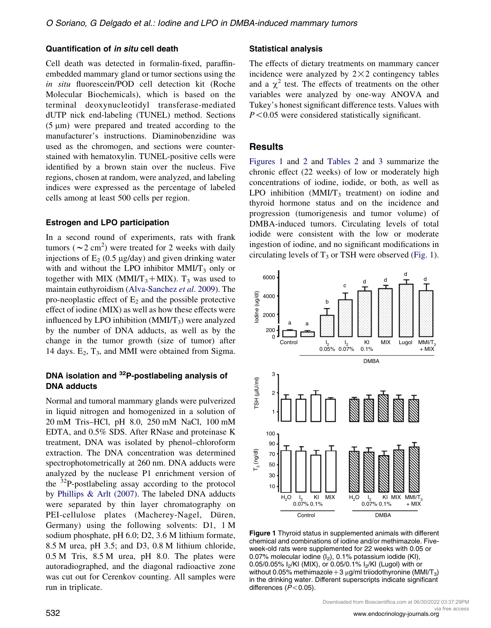#### Quantification of in situ cell death

Cell death was detected in formalin-fixed, paraffinembedded mammary gland or tumor sections using the in situ fluorescein/POD cell detection kit (Roche Molecular Biochemicals), which is based on the terminal deoxynucleotidyl transferase-mediated dUTP nick end-labeling (TUNEL) method. Sections  $(5 \mu m)$  were prepared and treated according to the manufacturer's instructions. Diaminobenzidine was used as the chromogen, and sections were counterstained with hematoxylin. TUNEL-positive cells were identified by a brown stain over the nucleus. Five regions, chosen at random, were analyzed, and labeling indices were expressed as the percentage of labeled cells among at least 500 cells per region.

#### Estrogen and LPO participation

In a second round of experiments, rats with frank tumors ( $\sim$ 2 cm<sup>2</sup>) were treated for 2 weeks with daily injections of  $E_2$  (0.5 µg/day) and given drinking water with and without the LPO inhibitor  $MMI/T<sub>3</sub>$  only or together with MIX (MMI/T<sub>3</sub>+MIX). T<sub>3</sub> was used to maintain euthyroidism [\(Alva-Sanchez](#page-8-0) et al. 2009). The pro-neoplastic effect of  $E_2$  and the possible protective effect of iodine (MIX) as well as how these effects were influenced by LPO inhibition  $(MMI/T<sub>3</sub>)$  were analyzed by the number of DNA adducts, as well as by the change in the tumor growth (size of tumor) after 14 days.  $E_2$ ,  $T_3$ , and MMI were obtained from Sigma.

## DNA isolation and <sup>32</sup>P-postlabeling analysis of DNA adducts

Normal and tumoral mammary glands were pulverized in liquid nitrogen and homogenized in a solution of 20 mM Tris–HCl, pH 8.0, 250 mM NaCl, 100 mM EDTA, and 0.5% SDS. After RNase and proteinase K treatment, DNA was isolated by phenol–chloroform extraction. The DNA concentration was determined spectrophotometrically at 260 nm. DNA adducts were analyzed by the nuclease P1 enrichment version of the  $32P$ -postlabeling assay according to the protocol by [Phillips & Arlt \(2007\)](#page-9-0). The labeled DNA adducts were separated by thin layer chromatography on PEI-cellulose plates (Macherey-Nagel, Düren, Germany) using the following solvents: D1, 1 M sodium phosphate, pH 6.0; D2, 3.6 M lithium formate, 8.5 M urea, pH 3.5; and D3, 0.8 M lithium chloride, 0.5 M Tris, 8.5 M urea, pH 8.0. The plates were autoradiographed, and the diagonal radioactive zone was cut out for Cerenkov counting. All samples were run in triplicate.

#### Statistical analysis

The effects of dietary treatments on mammary cancer incidence were analyzed by  $2 \times 2$  contingency tables and a  $\chi^2$  test. The effects of treatments on the other variables were analyzed by one-way ANOVA and Tukey's honest significant difference tests. Values with  $P < 0.05$  were considered statistically significant.

#### Results

Figures 1 and [2](#page-4-0) and [Tables 2](#page-4-0) and [3](#page-5-0) summarize the chronic effect (22 weeks) of low or moderately high concentrations of iodine, iodide, or both, as well as LPO inhibition  $(MMI/T<sub>3</sub>$  treatment) on iodine and thyroid hormone status and on the incidence and progression (tumorigenesis and tumor volume) of DMBA-induced tumors. Circulating levels of total iodide were consistent with the low or moderate ingestion of iodine, and no significant modifications in circulating levels of  $T_3$  or TSH were observed (Fig. 1).



Figure 1 Thyroid status in supplemented animals with different chemical and combinations of iodine and/or methimazole. Fiveweek-old rats were supplemented for 22 weeks with 0.05 or 0.07% molecular iodine  $(I_2)$ , 0.1% potassium iodide (KI), 0.05/0.05% I<sub>2</sub>/KI (MIX), or 0.05/0.1% I<sub>2</sub>/KI (Lugol) with or without 0.05% methimazole + 3  $\mu$ g/ml triiodothyronine (MMI/T<sub>3</sub>) in the drinking water. Different superscripts indicate significant differences  $(P< 0.05)$ .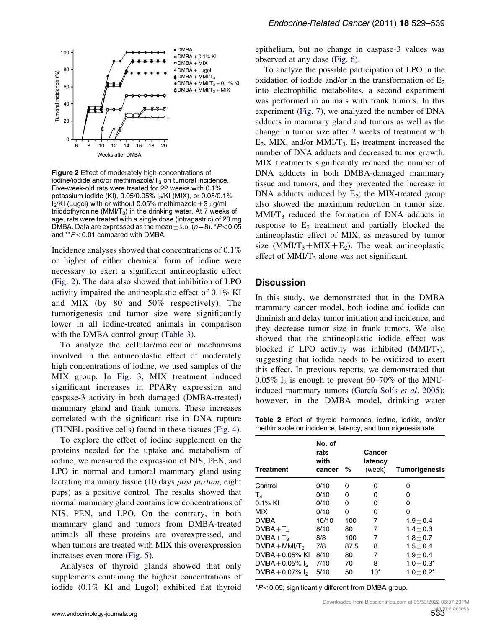<span id="page-4-0"></span>

Figure 2 Effect of moderately high concentrations of iodine/iodide and/or methimazole/ $T_3$  on tumoral incidence. Five-week-old rats were treated for 22 weeks with 0.1% potassium iodide (KI), 0.05/0.05% I<sub>2</sub>/KI (MIX), or 0.05/0.1%  $I_2/KI$  (Lugol) with or without 0.05% methimazole +3  $\mu$ g/ml triiodothyronine (MMI/T<sub>3</sub>) in the drinking water. At 7 weeks of age, rats were treated with a single dose (intragastric) of 20 mg DMBA. Data are expressed as the mean  $\pm$  s.p. (n=8).  $*P$  < 0.05 and \*\* $P < 0.01$  compared with DMBA.

Incidence analyses showed that concentrations of 0.1% or higher of either chemical form of iodine were necessary to exert a significant antineoplastic effect (Fig. 2). The data also showed that inhibition of LPO activity impaired the antineoplastic effect of 0.1% KI and MIX (by 80 and 50% respectively). The tumorigenesis and tumor size were significantly lower in all iodine-treated animals in comparison with the DMBA control group ([Table 3](#page-5-0)).

To analyze the cellular/molecular mechanisms involved in the antineoplastic effect of moderately high concentrations of iodine, we used samples of the MIX group. In [Fig. 3,](#page-5-0) MIX treatment induced significant increases in  $PPAR\gamma$  expression and caspase-3 activity in both damaged (DMBA-treated) mammary gland and frank tumors. These increases correlated with the significant rise in DNA rupture (TUNEL-positive cells) found in these tissues ([Fig. 4](#page-6-0)).

To explore the effect of iodine supplement on the proteins needed for the uptake and metabolism of iodine, we measured the expression of NIS, PEN, and LPO in normal and tumoral mammary gland using lactating mammary tissue (10 days post partum, eight pups) as a positive control. The results showed that normal mammary gland contains low concentrations of NIS, PEN, and LPO. On the contrary, in both mammary gland and tumors from DMBA-treated animals all these proteins are overexpressed, and when tumors are treated with MIX this overexpression increases even more [\(Fig. 5](#page-6-0)).

Analyses of thyroid glands showed that only supplements containing the highest concentrations of iodide (0.1% KI and Lugol) exhibited flat thyroid

epithelium, but no change in caspase-3 values was observed at any dose [\(Fig. 6](#page-7-0)).

To analyze the possible participation of LPO in the oxidation of iodide and/or in the transformation of  $E_2$ into electrophilic metabolites, a second experiment was performed in animals with frank tumors. In this experiment [\(Fig. 7](#page-7-0)), we analyzed the number of DNA adducts in mammary gland and tumors as well as the change in tumor size after 2 weeks of treatment with  $E_2$ , MIX, and/or MMI/T<sub>3</sub>.  $E_2$  treatment increased the number of DNA adducts and decreased tumor growth. MIX treatments significantly reduced the number of DNA adducts in both DMBA-damaged mammary tissue and tumors, and they prevented the increase in DNA adducts induced by  $E_2$ ; the MIX-treated group also showed the maximum reduction in tumor size.  $MMI/T<sub>3</sub>$  reduced the formation of DNA adducts in response to  $E_2$  treatment and partially blocked the antineoplastic effect of MIX, as measured by tumor size (MMI/T<sub>3</sub>+MIX+E<sub>2</sub>). The weak antineoplastic effect of  $MMI/T_3$  alone was not significant.

#### **Discussion**

In this study, we demonstrated that in the DMBA mammary cancer model, both iodine and iodide can diminish and delay tumor initiation and incidence, and they decrease tumor size in frank tumors. We also showed that the antineoplastic iodide effect was blocked if LPO activity was inhibited  $(MMI/T<sub>3</sub>)$ , suggesting that iodide needs to be oxidized to exert this effect. In previous reports, we demonstrated that  $0.05\%$  I<sub>2</sub> is enough to prevent 60–70% of the MNUinduced mammary tumors (García-Solís et al. 2005); however, in the DMBA model, drinking water

Table 2 Effect of thyroid hormones, iodine, iodide, and/or methimazole on incidence, latency, and tumorigenesis rate

| <b>Treatment</b>   | No. of<br>rats<br>with<br>cancer | %    | Cancer<br>latency<br>(week) | <b>Tumorigenesis</b> |
|--------------------|----------------------------------|------|-----------------------------|----------------------|
| Control            | 0/10                             | 0    | 0                           | 0                    |
| $T_{4}$            | 0/10                             | ი    | 0                           | ი                    |
| $0.1\%$ KI         | 0/10                             | 0    | 0                           | ი                    |
| <b>MIX</b>         | 0/10                             | 0    | 0                           | 0                    |
| <b>DMBA</b>        | 10/10                            | 100  | 7                           | $1.9 + 0.4$          |
| $DMBA+T4$          | 8/10                             | 80   | 7                           | $1.4 + 0.3$          |
| $DMBA + T_3$       | 8/8                              | 100  | 7                           | $1.8 + 0.7$          |
| $DMBA + MMI/T3$    | 7/8                              | 87.5 | 8                           | $1.5 + 0.4$          |
| DMBA $+0.05%$ KI   | 8/10                             | 80   | 7                           | $1.9 + 0.4$          |
| DMBA + 0.05% $I_2$ | 7/10                             | 70   | 8                           | $1.0 + 0.3*$         |
| DMBA + 0.07% $I_2$ | 5/10                             | 50   | 10*                         | $1.0 + 0.2^*$        |

 $*P<0.05$ ; significantly different from DMBA group.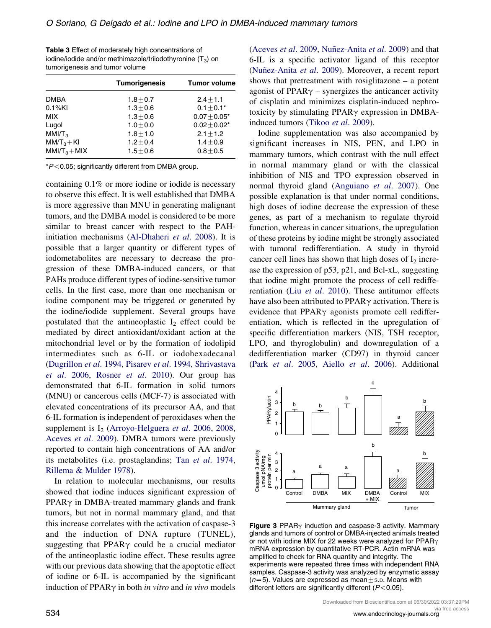<span id="page-5-0"></span>

| <b>Table 3</b> Effect of moderately high concentrations of   |
|--------------------------------------------------------------|
| iodine/iodide and/or methimazole/triiodothyronine $(T_3)$ on |
| tumorigenesis and tumor volume                               |

|                   | <b>Tumorigenesis</b> | <b>Tumor volume</b> |
|-------------------|----------------------|---------------------|
| <b>DMBA</b>       | $1.8 + 0.7$          | $2.4 + 1.1$         |
| $0.1%$ KI         | $1.3 + 0.6$          | $0.1 \pm 0.1*$      |
| <b>MIX</b>        | $1.3 + 0.6$          | $0.07 + 0.05*$      |
| Lugol             | $1.0 + 0.0$          | $0.02 + 0.02*$      |
| MM/T <sub>3</sub> | $1.8 + 1.0$          | $2.1 + 1.2$         |
| $MM/T3+KI$        | $1.2 + 0.4$          | $1.4 + 0.9$         |
| $MM/T3+MIX$       | $1.5 + 0.6$          | $0.8 + 0.5$         |
|                   |                      |                     |

 $*P$  < 0.05; significantly different from DMBA group.

containing 0.1% or more iodine or iodide is necessary to observe this effect. It is well established that DMBA is more aggressive than MNU in generating malignant tumors, and the DMBA model is considered to be more similar to breast cancer with respect to the PAHinitiation mechanisms [\(Al-Dhaheri](#page-8-0) et al. 2008). It is possible that a larger quantity or different types of iodometabolites are necessary to decrease the progression of these DMBA-induced cancers, or that PAHs produce different types of iodine-sensitive tumor cells. In the first case, more than one mechanism or iodine component may be triggered or generated by the iodine/iodide supplement. Several groups have postulated that the antineoplastic  $I_2$  effect could be mediated by direct antioxidant/oxidant action at the mitochondrial level or by the formation of iodolipid intermediates such as 6-IL or iodohexadecanal [\(Dugrillon](#page-9-0) et al. 1994, [Pisarev](#page-9-0) et al. 1994, [Shrivastava](#page-10-0) et al[. 2006,](#page-10-0) Rosner et al[. 2010\)](#page-10-0). Our group has demonstrated that 6-IL formation in solid tumors (MNU) or cancerous cells (MCF-7) is associated with elevated concentrations of its precursor AA, and that 6-IL formation is independent of peroxidases when the supplement is  $I_2$  ([Arroyo-Helguera](#page-8-0) *et al.* 2006, [2008,](#page-8-0) [Aceves](#page-8-0) et al. 2009). DMBA tumors were previously reported to contain high concentrations of AA and/or its metabolites (i.e. prostaglandins; Tan et al[. 1974,](#page-10-0) [Rillema & Mulder 1978\)](#page-10-0).

In relation to molecular mechanisms, our results showed that iodine induces significant expression of  $PPAR\gamma$  in DMBA-treated mammary glands and frank tumors, but not in normal mammary gland, and that this increase correlates with the activation of caspase-3 and the induction of DNA rupture (TUNEL), suggesting that PPAR $\gamma$  could be a crucial mediator of the antineoplastic iodine effect. These results agree with our previous data showing that the apoptotic effect of iodine or 6-IL is accompanied by the significant induction of PPAR $\gamma$  in both *in vitro* and *in vivo* models [\(Aceves](#page-8-0) et al. 2009, Nuñez-Anita et al. 2009) and that 6-IL is a specific activator ligand of this receptor (Nuñez-Anita et al. 2009). Moreover, a recent report shows that pretreatment with rosiglitazone – a potent agonist of PPAR $\gamma$  – synergizes the anticancer activity of cisplatin and minimizes cisplatin-induced nephrotoxicity by stimulating  $PPAR\gamma$  expression in DMBA-induced tumors (Tikoo et al[. 2009](#page-10-0)).

Iodine supplementation was also accompanied by significant increases in NIS, PEN, and LPO in mammary tumors, which contrast with the null effect in normal mammary gland or with the classical inhibition of NIS and TPO expression observed in normal thyroid gland ([Anguiano](#page-8-0) et al. 2007). One possible explanation is that under normal conditions, high doses of iodine decrease the expression of these genes, as part of a mechanism to regulate thyroid function, whereas in cancer situations, the upregulation of these proteins by iodine might be strongly associated with tumoral redifferentiation. A study in thyroid cancer cell lines has shown that high doses of  $I_2$  increase the expression of p53, p21, and Bcl-xL, suggesting that iodine might promote the process of cell rediffe-rentiation (Liu et al[. 2010](#page-9-0)). These antitumor effects have also been attributed to  $PPAR\gamma$  activation. There is evidence that  $PPAR\gamma$  agonists promote cell redifferentiation, which is reflected in the upregulation of specific differentiation markers (NIS, TSH receptor, LPO, and thyroglobulin) and downregulation of a dedifferentiation marker (CD97) in thyroid cancer (Park et al[. 2005,](#page-9-0) Aiello et al[. 2006\)](#page-8-0). Additional



Figure 3 PPAR $\gamma$  induction and caspase-3 activity. Mammary glands and tumors of control or DMBA-injected animals treated or not with iodine MIX for 22 weeks were analyzed for  $PPAR<sub>\gamma</sub>$ mRNA expression by quantitative RT-PCR. Actin mRNA was amplified to check for RNA quantity and integrity. The experiments were repeated three times with independent RNA samples. Caspase-3 activity was analyzed by enzymatic assay  $(n=5)$ . Values are expressed as mean  $\pm$  s.D. Means with different letters are significantly different ( $P < 0.05$ ).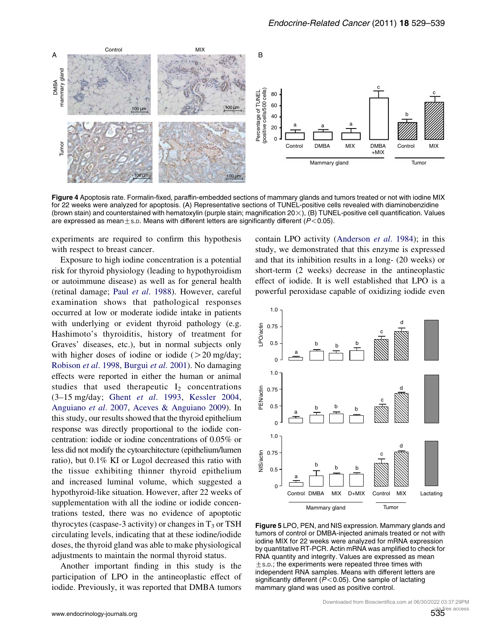<span id="page-6-0"></span>

Figure 4 Apoptosis rate. Formalin-fixed, paraffin-embedded sections of mammary glands and tumors treated or not with iodine MIX for 22 weeks were analyzed for apoptosis. (A) Representative sections of TUNEL-positive cells revealed with diaminobenzidine (brown stain) and counterstained with hematoxylin (purple stain; magnification  $20\times$ ), (B) TUNEL-positive cell quantification. Values are expressed as mean $\pm$ s.D. Means with different letters are significantly different ( $P$ <0.05).

experiments are required to confirm this hypothesis with respect to breast cancer.

Exposure to high iodine concentration is a potential risk for thyroid physiology (leading to hypothyroidism or autoimmune disease) as well as for general health (retinal damage; Paul et al[. 1988](#page-9-0)). However, careful examination shows that pathological responses occurred at low or moderate iodide intake in patients with underlying or evident thyroid pathology (e.g. Hashimoto's thyroiditis, history of treatment for Graves' diseases, etc.), but in normal subjects only with higher doses of iodine or iodide  $(20 \text{ mg/day})$ ; [Robison](#page-10-0) et al. 1998, [Burgui](#page-9-0) et al. 2001). No damaging effects were reported in either the human or animal studies that used therapeutic  $I_2$  concentrations (3–15 mg/day; Ghent et al[. 1993,](#page-9-0) [Kessler 2004](#page-9-0), [Anguiano](#page-8-0) et al. 2007, [Aceves & Anguiano 2009](#page-8-0)). In this study, our results showed that the thyroid epithelium response was directly proportional to the iodide concentration: iodide or iodine concentrations of 0.05% or less did not modify the cytoarchitecture (epithelium/lumen ratio), but 0.1% KI or Lugol decreased this ratio with the tissue exhibiting thinner thyroid epithelium and increased luminal volume, which suggested a hypothyroid-like situation. However, after 22 weeks of supplementation with all the iodine or iodide concentrations tested, there was no evidence of apoptotic thyrocytes (caspase-3 activity) or changes in  $T_3$  or TSH circulating levels, indicating that at these iodine/iodide doses, the thyroid gland was able to make physiological adjustments to maintain the normal thyroid status.

Another important finding in this study is the participation of LPO in the antineoplastic effect of iodide. Previously, it was reported that DMBA tumors

contain LPO activity ([Anderson](#page-8-0) et al. 1984); in this study, we demonstrated that this enzyme is expressed and that its inhibition results in a long- (20 weeks) or short-term (2 weeks) decrease in the antineoplastic effect of iodide. It is well established that LPO is a powerful peroxidase capable of oxidizing iodide even



Figure 5 LPO, PEN, and NIS expression. Mammary glands and tumors of control or DMBA-injected animals treated or not with iodine MIX for 22 weeks were analyzed for mRNA expression by quantitative RT-PCR. Actin mRNA was amplified to check for RNA quantity and integrity. Values are expressed as mean  $\pm$  s.p.; the experiments were repeated three times with independent RNA samples. Means with different letters are significantly different ( $P < 0.05$ ). One sample of lactating mammary gland was used as positive control.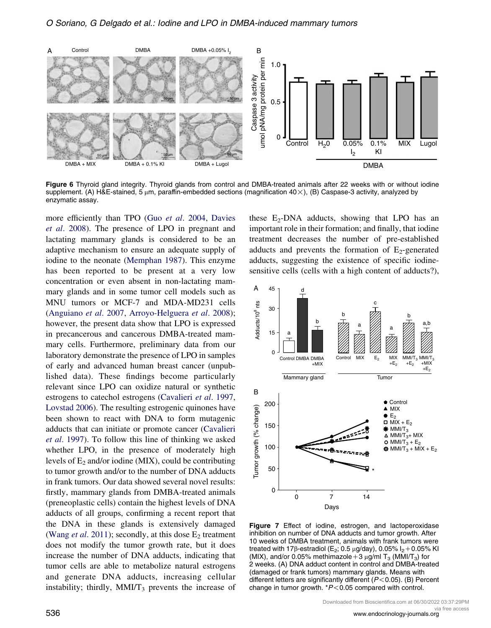<span id="page-7-0"></span>

Figure 6 Thyroid gland integrity. Thyroid glands from control and DMBA-treated animals after 22 weeks with or without iodine supplement. (A) H&E-stained, 5  $\mu$ m, paraffin-embedded sections (magnification 40 $\times$ ), (B) Caspase-3 activity, analyzed by enzymatic assay.

more efficiently than TPO (Guo et al[. 2004,](#page-9-0) [Davies](#page-9-0) et al[. 2008](#page-9-0)). The presence of LPO in pregnant and lactating mammary glands is considered to be an adaptive mechanism to ensure an adequate supply of iodine to the neonate [\(Memphan 1987](#page-9-0)). This enzyme has been reported to be present at a very low concentration or even absent in non-lactating mammary glands and in some tumor cell models such as MNU tumors or MCF-7 and MDA-MD231 cells [\(Anguiano](#page-8-0) et al. 2007, [Arroyo-Helguera](#page-8-0) et al. 2008); however, the present data show that LPO is expressed in precancerous and cancerous DMBA-treated mammary cells. Furthermore, preliminary data from our laboratory demonstrate the presence of LPO in samples of early and advanced human breast cancer (unpublished data). These findings become particularly relevant since LPO can oxidize natural or synthetic estrogens to catechol estrogens ([Cavalieri](#page-9-0) et al. 1997, [Lovstad 2006](#page-9-0)). The resulting estrogenic quinones have been shown to react with DNA to form mutagenic adducts that can initiate or promote cancer [\(Cavalieri](#page-9-0) et al[. 1997](#page-9-0)). To follow this line of thinking we asked whether LPO, in the presence of moderately high levels of  $E_2$  and/or iodine (MIX), could be contributing to tumor growth and/or to the number of DNA adducts in frank tumors. Our data showed several novel results: firstly, mammary glands from DMBA-treated animals (preneoplastic cells) contain the highest levels of DNA adducts of all groups, confirming a recent report that the DNA in these glands is extensively damaged (Wang et al[. 2011](#page-10-0)); secondly, at this dose  $E_2$  treatment does not modify the tumor growth rate, but it does increase the number of DNA adducts, indicating that tumor cells are able to metabolize natural estrogens and generate DNA adducts, increasing cellular instability; thirdly,  $MMI/T<sub>3</sub>$  prevents the increase of these  $E_2$ -DNA adducts, showing that LPO has an important role in their formation; and finally, that iodine treatment decreases the number of pre-established adducts and prevents the formation of  $E_2$ -generated adducts, suggesting the existence of specific iodinesensitive cells (cells with a high content of adducts?),



Figure 7 Effect of iodine, estrogen, and lactoperoxidase inhibition on number of DNA adducts and tumor growth. After 10 weeks of DMBA treatment, animals with frank tumors were treated with 17 $\beta$ -estradiol (E<sub>2</sub>; 0.5 µg/day), 0.05% I<sub>2</sub>+0.05% KI (MIX), and/or 0.05% methimazole + 3  $\mu$ g/ml T<sub>3</sub> (MMI/T<sub>3</sub>) for 2 weeks. (A) DNA adduct content in control and DMBA-treated (damaged or frank tumors) mammary glands. Means with different letters are significantly different ( $P < 0.05$ ). (B) Percent change in tumor growth.  $*P<0.05$  compared with control.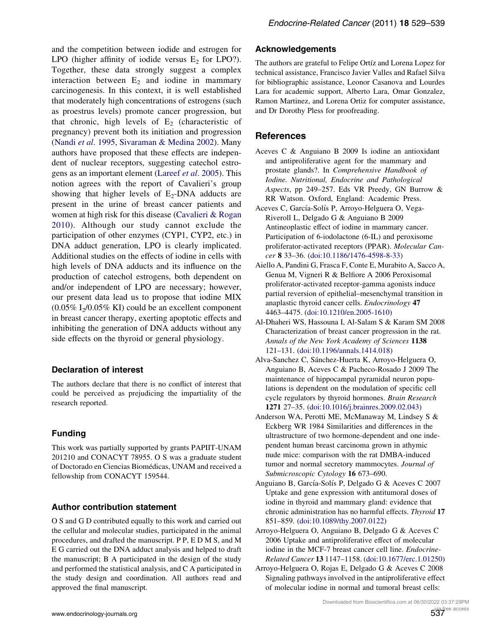<span id="page-8-0"></span>and the competition between iodide and estrogen for LPO (higher affinity of iodide versus  $E_2$  for LPO?). Together, these data strongly suggest a complex interaction between  $E_2$  and iodine in mammary carcinogenesis. In this context, it is well established that moderately high concentrations of estrogens (such as proestrus levels) promote cancer progression, but that chronic, high levels of  $E_2$  (characteristic of pregnancy) prevent both its initiation and progression (Nandi et al[. 1995](#page-9-0), [Sivaraman & Medina 2002](#page-10-0)). Many authors have proposed that these effects are independent of nuclear receptors, suggesting catechol estrogens as an important element [\(Lareef](#page-9-0) et al. 2005). This notion agrees with the report of Cavalieri's group showing that higher levels of  $E_2$ -DNA adducts are present in the urine of breast cancer patients and women at high risk for this disease ([Cavalieri & Rogan](#page-9-0) [2010\)](#page-9-0). Although our study cannot exclude the participation of other enzymes (CYP1, CYP2, etc.) in DNA adduct generation, LPO is clearly implicated. Additional studies on the effects of iodine in cells with high levels of DNA adducts and its influence on the production of catechol estrogens, both dependent on and/or independent of LPO are necessary; however, our present data lead us to propose that iodine MIX  $(0.05\% \text{ I}_2/0.05\% \text{ KI})$  could be an excellent component in breast cancer therapy, exerting apoptotic effects and inhibiting the generation of DNA adducts without any side effects on the thyroid or general physiology.

#### Declaration of interest

The authors declare that there is no conflict of interest that could be perceived as prejudicing the impartiality of the research reported.

## Funding

This work was partially supported by grants PAPIIT-UNAM 201210 and CONACYT 78955. O S was a graduate student of Doctorado en Ciencias Biomédicas, UNAM and received a fellowship from CONACYT 159544.

#### Author contribution statement

O S and G D contributed equally to this work and carried out the cellular and molecular studies, participated in the animal procedures, and drafted the manuscript. P P, E D M S, and M E G carried out the DNA adduct analysis and helped to draft the manuscript; B A participated in the design of the study and performed the statistical analysis, and C A participated in the study design and coordination. All authors read and approved the final manuscript.

### Acknowledgements

The authors are grateful to Felipe Ortíz and Lorena Lopez for technical assistance, Francisco Javier Valles and Rafael Silva for bibliographic assistance, Leonor Casanova and Lourdes Lara for academic support, Alberto Lara, Omar Gonzalez, Ramon Martinez, and Lorena Ortiz for computer assistance, and Dr Dorothy Pless for proofreading.

## **References**

- Aceves C & Anguiano B 2009 Is iodine an antioxidant and antiproliferative agent for the mammary and prostate glands?. In Comprehensive Handbook of Iodine. Nutritional, Endocrine and Pathological Aspects, pp 249–257. Eds VR Preedy, GN Burrow & RR Watson. Oxford, England: Academic Press.
- Aceves C, García-Solís P, Arroyo-Helguera O, Vega-Riveroll L, Delgado G & Anguiano B 2009 Antineoplastic effect of iodine in mammary cancer. Participation of 6-iodolactone (6-IL) and peroxisome proliferator-activated receptors (PPAR). Molecular Cancer 8 33–36. ([doi:10.1186/1476-4598-8-33](http://dx.doi.org/10.1186/1476-4598-8-33))
- Aiello A, Pandini G, Frasca F, Conte E, Murabito A, Sacco A, Genua M, Vigneri R & Belfiore A 2006 Peroxisomal proliferator-activated receptor-gamma agonists induce partial reversion of epithelial–mesenchymal transition in anaplastic thyroid cancer cells. Endocrinology 47 4463–4475. ([doi:10.1210/en.2005-1610](http://dx.doi.org/10.1210/en.2005-1610))
- Al-Dhaheri WS, Hassouna I, Al-Salam S & Karam SM 2008 Characterization of breast cancer progression in the rat. Annals of the New York Academy of Sciences 1138 121–131. [\(doi:10.1196/annals.1414.018\)](http://dx.doi.org/10.1196/annals.1414.018)
- Alva-Sanchez C, Sánchez-Huerta K, Arroyo-Helguera O, Anguiano B, Aceves C & Pacheco-Rosado J 2009 The maintenance of hippocampal pyramidal neuron populations is dependent on the modulation of specific cell cycle regulators by thyroid hormones. Brain Research 1271 27–35. ([doi:10.1016/j.brainres.2009.02.043](http://dx.doi.org/10.1016/j.brainres.2009.02.043))
- Anderson WA, Perotti ME, McManaway M, Lindsey S & Eckberg WR 1984 Similarities and differences in the ultrastructure of two hormone-dependent and one independent human breast carcinoma grown in athymic nude mice: comparison with the rat DMBA-induced tumor and normal secretory mammocytes. Journal of Submicroscopic Cytology 16 673–690.
- Anguiano B, García-Solís P, Delgado G & Aceves C 2007 Uptake and gene expression with antitumoral doses of iodine in thyroid and mammary gland: evidence that chronic administration has no harmful effects. Thyroid 17 851–859. [\(doi:10.1089/thy.2007.0122\)](http://dx.doi.org/10.1089/thy.2007.0122)
- Arroyo-Helguera O, Anguiano B, Delgado G & Aceves C 2006 Uptake and antiproliferative effect of molecular iodine in the MCF-7 breast cancer cell line. *Endocrine*-Related Cancer 13 1147–1158. [\(doi:10.1677/erc.1.01250](http://dx.doi.org/10.1677/erc.1.01250))
- Arroyo-Helguera O, Rojas E, Delgado G & Aceves C 2008 Signaling pathways involved in the antiproliferative effect of molecular iodine in normal and tumoral breast cells: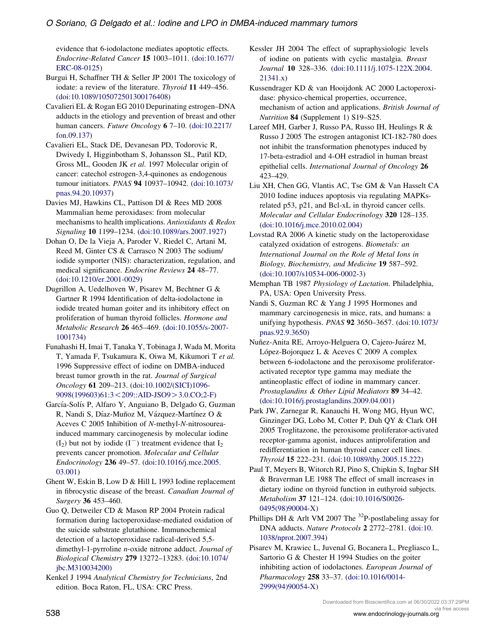<span id="page-9-0"></span>evidence that 6-iodolactone mediates apoptotic effects. Endocrine-Related Cancer 15 1003–1011. ([doi:10.1677/](http://dx.doi.org/10.1677/ERC-08-0125) [ERC-08-0125](http://dx.doi.org/10.1677/ERC-08-0125))

Burgui H, Schaffner TH & Seller JP 2001 The toxicology of iodate: a review of the literature. Thyroid 11 449-456. ([doi:10.1089/105072501300176408](http://dx.doi.org/10.1089/105072501300176408))

Cavalieri EL & Rogan EG 2010 Depurinating estrogen–DNA adducts in the etiology and prevention of breast and other human cancers. Future Oncology 6 7–10. ([doi:10.2217/](http://dx.doi.org/10.2217/fon.09.137) [fon.09.137\)](http://dx.doi.org/10.2217/fon.09.137)

Cavalieri EL, Stack DE, Devanesan PD, Todorovic R, Dwivedy I, Higginbotham S, Johansson SL, Patil KD, Gross ML, Gooden JK et al. 1997 Molecular origin of cancer: catechol estrogen-3,4-quinones as endogenous tumour initiators. PNAS 94 10937–10942. ([doi:10.1073/](http://dx.doi.org/10.1073/pnas.94.20.10937) [pnas.94.20.10937](http://dx.doi.org/10.1073/pnas.94.20.10937))

Davies MJ, Hawkins CL, Pattison DI & Rees MD 2008 Mammalian heme peroxidases: from molecular mechanisms to health implications. Antioxidants & Redox Signaling 10 1199–1234. ([doi:10.1089/ars.2007.1927](http://dx.doi.org/10.1089/ars.2007.1927))

Dohan O, De la Vieja A, Paroder V, Riedel C, Artani M, Reed M, Ginter CS & Carrasco N 2003 The sodium/ iodide symporter (NIS): characterization, regulation, and medical significance. Endocrine Reviews 24 48–77. ([doi:10.1210/er.2001-0029\)](http://dx.doi.org/10.1210/er.2001-0029)

Dugrillon A, Uedelhoven W, Pisarev M, Bechtner G & Gartner R 1994 Identification of delta-iodolactone in iodide treated human goiter and its inhibitory effect on proliferation of human thyroid follicles. Hormone and Metabolic Research 26 465–469. [\(doi:10.1055/s-2007-](http://dx.doi.org/10.1055/s-2007-1001734) [1001734](http://dx.doi.org/10.1055/s-2007-1001734))

Funahashi H, Imai T, Tanaka Y, Tobinaga J, Wada M, Morita T, Yamada F, Tsukamura K, Oiwa M, Kikumori T et al. 1996 Suppressive effect of iodine on DMBA-induced breast tumor growth in the rat. Journal of Surgical Oncology 61 209–213. [\(doi:10.1002/\(SICI\)1096-](http://dx.doi.org/10.1002/(SICI)1096-9098(199603)61:3%3C209::AID-JSO9%3E3.0.CO;2-F) [9098\(199603\)61:3](http://dx.doi.org/10.1002/(SICI)1096-9098(199603)61:3%3C209::AID-JSO9%3E3.0.CO;2-F)<209::AID-JSO9>3.0.CO;2-F)

García-Solís P, Alfaro Y, Anguiano B, Delgado G, Guzman R, Nandi S, Díaz-Muñoz M, Vázquez-Martínez O & Aceves C 2005 Inhibition of N-methyl-N-nitrosoureainduced mammary carcinogenesis by molecular iodine  $(I_2)$  but not by iodide  $(I^-)$  treatment evidence that  $I_2$ prevents cancer promotion. Molecular and Cellular Endocrinology 236 49–57. [\(doi:10.1016/j.mce.2005.](http://dx.doi.org/10.1016/j.mce.2005.03.001) [03.001\)](http://dx.doi.org/10.1016/j.mce.2005.03.001)

Ghent W, Eskin B, Low D & Hill L 1993 Iodine replacement in fibrocystic disease of the breast. Canadian Journal of Surgery 36 453–460.

Guo Q, Detweiler CD & Mason RP 2004 Protein radical formation during lactoperoxidase-mediated oxidation of the suicide substrate glutathione. Immunochemical detection of a lactoperoxidase radical-derived 5,5 dimethyl-1-pyrroline n-oxide nitrone adduct. Journal of Biological Chemistry 279 13272–13283. [\(doi:10.1074/](http://dx.doi.org/10.1074/jbc.M310034200) [jbc.M310034200](http://dx.doi.org/10.1074/jbc.M310034200))

Kenkel J 1994 Analytical Chemistry for Technicians, 2nd edition. Boca Raton, FL, USA: CRC Press.

Kessler JH 2004 The effect of supraphysiologic levels of iodine on patients with cyclic mastalgia. Breast Journal 10 328–336. ([doi:10.1111/j.1075-122X.2004.](http://dx.doi.org/10.1111/j.1075-122X.2004.21341.x) [21341.x](http://dx.doi.org/10.1111/j.1075-122X.2004.21341.x))

Kussendrager KD & van Hooijdonk AC 2000 Lactoperoxidase: physico-chemical properties, occurrence, mechanism of action and applications. British Journal of Nutrition 84 (Supplement 1) S19–S25.

Lareef MH, Garber J, Russo PA, Russo IH, Heulings R & Russo J 2005 The estrogen antagonist ICI-182-780 does not inhibit the transformation phenotypes induced by 17-beta-estradiol and 4-OH estradiol in human breast epithelial cells. International Journal of Oncology 26 423–429.

Liu XH, Chen GG, Vlantis AC, Tse GM & Van Hasselt CA 2010 Iodine induces apoptosis via regulating MAPKsrelated p53, p21, and Bcl-xL in thyroid cancer cells. Molecular and Cellular Endocrinology 320 128–135. ([doi:10.1016/j.mce.2010.02.004\)](http://dx.doi.org/10.1016/j.mce.2010.02.004)

Lovstad RA 2006 A kinetic study on the lactoperoxidase catalyzed oxidation of estrogens. Biometals: an International Journal on the Role of Metal Ions in Biology, Biochemistry, and Medicine 19 587–592. ([doi:10.1007/s10534-006-0002-3](http://dx.doi.org/10.1007/s10534-006-0002-3))

Memphan TB 1987 Physiology of Lactation. Philadelphia, PA, USA: Open University Press.

Nandi S, Guzman RC & Yang J 1995 Hormones and mammary carcinogenesis in mice, rats, and humans: a unifying hypothesis. PNAS 92 3650–3657. ([doi:10.1073/](http://dx.doi.org/10.1073/pnas.92.9.3650) [pnas.92.9.3650\)](http://dx.doi.org/10.1073/pnas.92.9.3650)

Nuñez-Anita RE, Arroyo-Helguera O, Cajero-Juárez M, López-Bojorquez L & Aceves C 2009 A complex between 6-iodolactone and the peroxisome proliferatoractivated receptor type gamma may mediate the antineoplastic effect of iodine in mammary cancer. Prostaglandins & Other Lipid Mediators 89 34–42. ([doi:10.1016/j.prostaglandins.2009.04.001\)](http://dx.doi.org/10.1016/j.prostaglandins.2009.04.001)

Park JW, Zarnegar R, Kanauchi H, Wong MG, Hyun WC, Ginzinger DG, Lobo M, Cotter P, Duh QY & Clark OH 2005 Troglitazone, the peroxisome proliferator-activated receptor-gamma agonist, induces antiproliferation and redifferentiation in human thyroid cancer cell lines. Thyroid 15 222–231. ([doi:10.1089/thy.2005.15.222](http://dx.doi.org/10.1089/thy.2005.15.222))

Paul T, Meyers B, Witorch RJ, Pino S, Chipkin S, Ingbar SH & Braverman LE 1988 The effect of small increases in dietary iodine on thyroid function in euthyroid subjects. Metabolism 37 121–124. ([doi:10.1016/S0026-](http://dx.doi.org/10.1016/S0026-0495(98)90004-X) [0495\(98\)90004-X\)](http://dx.doi.org/10.1016/S0026-0495(98)90004-X)

Phillips DH & Arlt VM 2007 The  $^{32}P$ -postlabeling assay for DNA adducts. Nature Protocols 2 2772–2781. [\(doi:10.](http://dx.doi.org/10.1038/nprot.2007.394) [1038/nprot.2007.394](http://dx.doi.org/10.1038/nprot.2007.394))

Pisarev M, Krawiec L, Juvenal G, Bocanera L, Pregliasco L, Sartorio G & Chester H 1994 Studies on the goiter inhibiting action of iodolactones. European Journal of Pharmacology 258 33–37. ([doi:10.1016/0014-](http://dx.doi.org/10.1016/0014-2999(94)90054-X) [2999\(94\)90054-X\)](http://dx.doi.org/10.1016/0014-2999(94)90054-X)